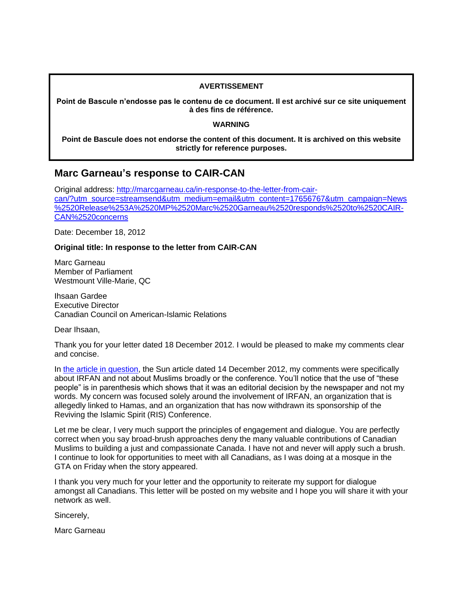## **AVERTISSEMENT**

**Point de Bascule n'endosse pas le contenu de ce document. Il est archivé sur ce site uniquement à des fins de référence.**

## **WARNING**

**Point de Bascule does not endorse the content of this document. It is archived on this website strictly for reference purposes.**

## **Marc Garneau's response to CAIR-CAN**

Original address: [http://marcgarneau.ca/in-response-to-the-letter-from-cair](http://marcgarneau.ca/in-response-to-the-letter-from-cair-can/?utm_source=streamsend&utm_medium=email&utm_content=17656767&utm_campaign=News%2520Release%253A%2520MP%2520Marc%2520Garneau%2520responds%2520to%2520CAIR-CAN%2520concerns)[can/?utm\\_source=streamsend&utm\\_medium=email&utm\\_content=17656767&utm\\_campaign=News](http://marcgarneau.ca/in-response-to-the-letter-from-cair-can/?utm_source=streamsend&utm_medium=email&utm_content=17656767&utm_campaign=News%2520Release%253A%2520MP%2520Marc%2520Garneau%2520responds%2520to%2520CAIR-CAN%2520concerns) [%2520Release%253A%2520MP%2520Marc%2520Garneau%2520responds%2520to%2520CAIR-](http://marcgarneau.ca/in-response-to-the-letter-from-cair-can/?utm_source=streamsend&utm_medium=email&utm_content=17656767&utm_campaign=News%2520Release%253A%2520MP%2520Marc%2520Garneau%2520responds%2520to%2520CAIR-CAN%2520concerns)[CAN%2520concerns](http://marcgarneau.ca/in-response-to-the-letter-from-cair-can/?utm_source=streamsend&utm_medium=email&utm_content=17656767&utm_campaign=News%2520Release%253A%2520MP%2520Marc%2520Garneau%2520responds%2520to%2520CAIR-CAN%2520concerns)

Date: December 18, 2012

## **Original title: In response to the letter from CAIR-CAN**

Marc Garneau Member of Parliament Westmount Ville-Marie, QC

Ihsaan Gardee Executive Director Canadian Council on American-Islamic Relations

Dear Ihsaan,

Thank you for your letter dated 18 December 2012. I would be pleased to make my comments clear and concise.

In [the article in question,](http://www.edmontonsun.com/2012/12/14/justin-trudeau-should-respond-to-conference-critics-marc-garneau-says) the Sun article dated 14 December 2012, my comments were specifically about IRFAN and not about Muslims broadly or the conference. You'll notice that the use of "these people" is in parenthesis which shows that it was an editorial decision by the newspaper and not my words. My concern was focused solely around the involvement of IRFAN, an organization that is allegedly linked to Hamas, and an organization that has now withdrawn its sponsorship of the Reviving the Islamic Spirit (RIS) Conference.

Let me be clear, I very much support the principles of engagement and dialogue. You are perfectly correct when you say broad-brush approaches deny the many valuable contributions of Canadian Muslims to building a just and compassionate Canada. I have not and never will apply such a brush. I continue to look for opportunities to meet with all Canadians, as I was doing at a mosque in the GTA on Friday when the story appeared.

I thank you very much for your letter and the opportunity to reiterate my support for dialogue amongst all Canadians. This letter will be posted on my website and I hope you will share it with your network as well.

Sincerely,

Marc Garneau